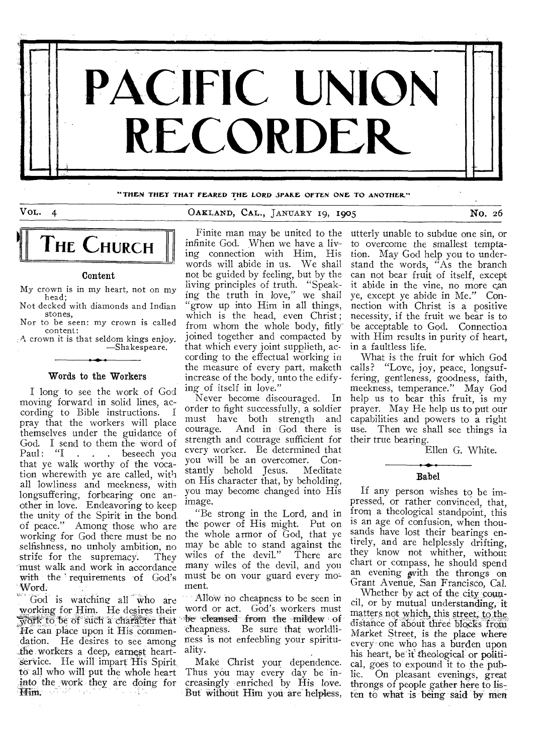

**"THEN THEY THAT FEARED THE LORD SPARE OFTEN ONE TO ANOTHER"** 

# VOL. 4 OAKLAND, CAL., JANUARY 19, 1905 NO. 26



#### Content

My crown is in my heart, not on my head; Not decked with diamonds and Indian

stones, Nor to be seen: my crown is called content:

A crown it is that seldom kings enjoy. —Shakespeare.

#### Words to the Workers

I long to see the work of God moving forward in solid lines, according to Bible instructions. I cording to Bible instructions. pray that the workers will place themselves under the guidance of God. I send to them the word of<br>Paul: "I . . . beseech you . . . beseech you that ye walk worthy of the vocation wherewith ye are called, with all lowliness and meekness, with longsuffering, forbearing one another in love. Endeavoring to keep the unity of the Spirit in the bond of peace." Among those who are working for God there must be no selfishness, no unholy ambition, no<br>strife for the supremacy. They strife for the supremacy. must walk and work in accordance with the ' requirements of God's Word.

God is watching all Who are working for Him. He desires their 'Tie can place upon it His Commendation. He desires to see among the workers a deep, earnest heartservice. He will impart His Spirit to all who will put the whole heart into the work they are doing for

Finite man may be united to the infinite God. When we have a living connection with Him, His words will abide in us. We shall not be guided by feeling, but by the living principles of truth. "Speaking the truth in love," we shall "grow up into Him in all things, which is the head, even Christ; from whom the whole body, fitly joined together and compacted by that which every joint supplieth, according to the effectual working in the measure of every part, maketh increase of the body, unto the edifying of itself in love."

Never become discouraged. In order to fight successfully, a soldier must have both strength and<br>courage. And in God there is And in God there is strength and courage sufficient for every worker. Be determined that<br>vou will be an overcomer. Conyou will be an overcomer. Constantly behold Jesus. on His character that, by beholding, you may become changed into His image.

"Be strong in the Lord, and in the power of His might. Put on the whole armor of God, that ye may be able to stand against the wiles of the devil." There are wiles of the devil." many wiles of the devil, and you must be on your guard every moment.

to be of such a character that "be cleansed from the mildew of Allow no cheapness to be seen in word or act. God's workers must cheapness. Be sure that worldliness is not enfeebling your spirituality.

> Make Christ your dependence. Thus you may every day be increasingly enriched by His love. But without Him you are helpless,

utterly unable to subdue one sin, or to overcome the smallest temptation. May God help you to understand the words, "As the branch can not bear fruit of itself, except it abide in the vine, no more can ye, except ye abide in Me." Connection with Christ is a positive necessity, if the fruit we bear is to be acceptable to God. Connection with Him results in purity of heart, in a faultless life.

What is the fruit for which God calls? "Love, joy, peace, longsuffering, gentleness, goodness, faith, meekness, temperance." May God help us to bear this fruit, is my prayer. May He help us to put our capabilities and powers to a right use. Then we shall see things in their true bearing.

Ellen G. White.

#### Babel

If any person wishes to be impressed, or rather convinced, that, from a theological standpoint, this is an age of confusion, when thousands have lost their bearings entirely, and are helplessly drifting, they know not whither, without chart or compass, he should spend an evening with the throngs on Grant Avenue, San Francisco, Cal.

Whether by act of the city council, or by mutual understanding, it matters not which, this street, to the distance of about three bIoCks from Market Street, is the place where every one who has a burden upon his heart, be it theological or political, goes to expound it to the public. On pleasant evenings, great throngs of people gather here to listen to what is being said by men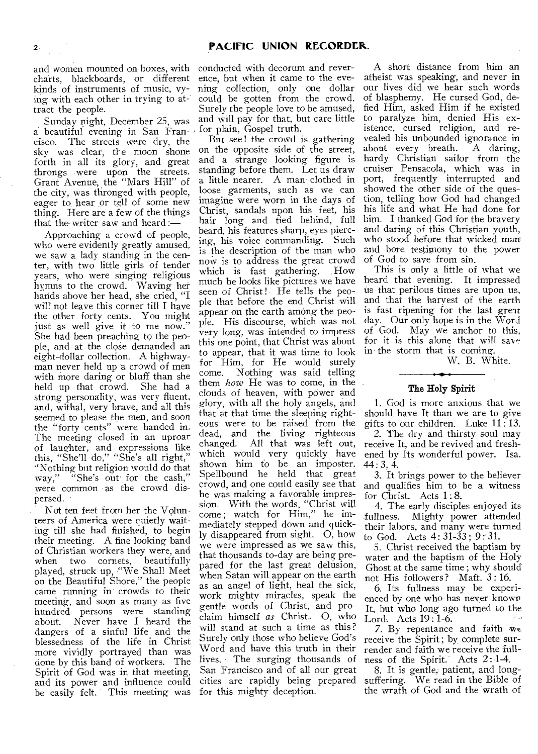charts, blackboards, or different kinds of instruments of music, vying with each other in trying to attract the people.

Sunday night, December 25, was a beautiful evening in San Francisco. The streets were dry, the sky was clear, the moon shone forth in all its glory, and great throngs were upon the streets. Grant Avenue, the "Mars Hill" of the city, was thronged with people, eager to hear or tell of some new thing. Here are a few of the things that the writer-saw and heard :-

Approaching a crowd of people, who were evidently greatly amused, we saw a lady standing in the center, with two little girls of tender years, who were singing religious hymns to the crowd. Waving her hands above her head, she cried, "I will not leave this corner till I have the other forty cents. You might just as well give it to me now. She had been preaching to the people, and at the close demanded an eight-dollar collection. A highwayman never held up a crowd of men with more daring or bluff than she held up that crowd. She had a strong personality, was very fluent, and, withal, very brave, and all this seemed to please the men, and soon the "forty cents" were handed in. The meeting closed in an uproar of laughter, and expressions like this, "She'll do," "She's all right," "Nothing but religion would do that way," "She's out for the cash," were common as the crowd dispersed.

Not ten feet from her the Volunteers of America were quietly waiting till she had finished, to begin their meeting. A fine looking band of Christian workers they were, and when two cornets, beautifully played, struck up, "We Shall Meet on the Beautiful Shore," the people came running in crowds to their meeting, and soon as many as five hundred persons were standing about. Never have I heard the dangers of a sinful life and the blessedness of the life in Christ more vividly portrayed than was done by this band of workers. The Spirit of God was in that meeting, and its power and influence could be easily felt. This meeting was

and women mounted on boxes, with conducted with decorum and reverence, but when it came to the evening collection, only one dollar could be gotten from the crowd. Surely the people love to be amused, and will pay for that, but care little for plain, Gospel truth.

> But see! the crowd is gathering on the opposite side of the street, and a strange looking figure is standing before them. Let us draw a little nearer. A man clothed in loose garments, such as we can imagine were worn in the days of Christ, sandals upon his feet, his hair long and tied behind, full beard, his features sharp, eyes piercing, his voice commanding. Such is the description of the man who now is to address the great crowd<br>which is fast gathering. How which is fast gathering. much he looks like pictures we have seen of Christ! He tells the people that before the end Christ will appear on the earth among-the people. His discourse, which was not very long, was intended to impress this one point, that Christ was about to appear, that it was time to look for Him, for He would surely<br>come. Nothing was said telling Nothing was said telling them *how* He was to come, in the clouds of heaven, with power and glory, with all the holy angels, and that at that time the sleeping righteous were to be raised from the dead, and the living righteous<br>changed. All that was left out, All that was left out, which would very quickly have shown him fo be an imposter. Spellbound he held that great crowd, and one could easily see that he was making a favorable impression. With the words, "Christ will come ; watch for Him," he immediately stepped down and quickly disappeared from sight. 0, how we were impressed as we saw this, that thousands to-day are being prepared for the last great delusion, when Satan will appear on the earth as an angel of light, heal the sick, work mighty miracles, speak the gentle words of Christ, and proclaim himself *as* Christ.. 0, who will stand at such a time as this ? Surely only those who believe God's Word and have this truth in their lives. The surging thousands of San Francisco and of all our great cities are rapidly being prepared for this mighty deception.

A short distance from him an atheist was speaking, and never in our lives did we hear such words of blasphemy. He cursed God, defied Him, asked Him if he existed to paralyze him, denied His existence, cursed religion, and revealed his unbounded ignorance in about every breath. A daring, hardy Christian sailor from the cruiser Pensacola, which was in port, frequently interrupted and showed the other side of the question, telling how God had changed his life and what He had done for him. I thanked God for the bravery and daring of this Christian youth, who stood before that wicked man and bore testimony to the power of God to save from sin.

This is only a little of what we heard that evening. It impressed us that perilous times are upon us, and that the harvest of the earth is fast ripening for the last great day. Our only hope is in the Word of God. May we anchor to this, for it is this alone that will save in the storm that is coming.

W. B. White.

### The Holy Spirit

1. God is more anxious that we should have It than we are to give gifts to our children. Luke 11 : 13.

2. The dry and thirsty soul may receive It, and be revived and freshened by Its wonderful power. Isa.  $44:3,4.$ 

3. It brings power to the believer and qualifies him to be a witness for Christ. Acts 1:8.

4. The early disciples enjoyed its fullness. Mighty power attended their labors, and many were turned to God. Acts  $4:31-33$ ;  $9:31$ .

5. Christ received the baptism by water and the baptism of the Holy Ghost at the same time ; why should not His followers? Maft. 3:16.

6. Its fullness may be experienced by one who has never known It, but who long ago turned to the Lord. Acts 19: 1-6.

7. By repentance and faith we receive the Spirit; by complete surrender and faith we receive the fullness of the Spirit. Acts 2:1-4.

8. It is gentle, patient, and longsuffering. We read in the Bible of the wrath of God and the wrath of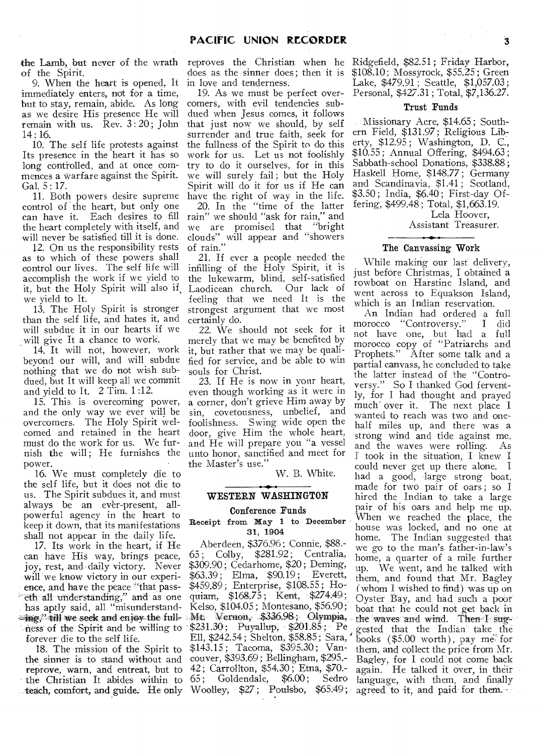the Lamb, but never of the wrath of the Spirit.

9. When the heart is opened, It immediately enters, not for a time, but to stay, remain, abide. As long as we desire His presence He will remain with us. Rev. 3:20; John 14:16.

10. The self life protests against Its presence in the heart it has so long controlled, and at once commences a warfare against the Spirit. Gal. 5 : 17.

11. Both powers desire supreme control of the heart, but only one can have it. Each desires to fill the heart completely with itself, and will never be satisfied till it is done.

12. On us the responsibility rests as to which of these powers shall control our lives. The self life will accomplish the work if we yield to it, but the Holy Spirit will also if, we yield to It.

13. The Holy Spirit is stronger than the self life, and hates it, and will subdue it in our hearts if we will give It a chance to work.

14. It will not, however, work beyond our will, and will subdue nothing that we do not wish subdued, but It will keep all we commit and yield to It. 2 Tim. 1 :12.

15. This is overcoming power, and the only way we ever will be overcomers. The Holy Spirit welcomed and retained in the heart must do the work for us. We furnish the will; He furnishes the power.

16. We must completely die to the self life, but it does not die to us. The Spirit subdues it, and must always be an ever-present, allpowerful agency in the heart to keep it down, that its manifestations shall not appear in the daily life.

17. Its work in the heart, if He can have His way, brings peace, joy, rest, and daily victory. Never will we know victory in our experience, and have the peace "that pass- ' eth all undetstandirig," arid as one has aptly said, all "misunderstand ness of the Spirit and be willing to forever die to the self life.

18. The mission of the Spirit to the sinner is to stand without and reprove, warn, and entreat, but to the Christian It abides within to teach, comfort, and guide; He only

does as the sinner does ; then it is in love and tenderness.

19. As we must be perfect overcorners, with evil tendencies subdued when Jesus comes, it follows that just now we should, by self surrender and true faith, seek for the fullness of the Spirit to do this work for us. Let us not foolishly try to do it ourselves, for in this we will surely fail; but the Holy Spirit will do it for us if He can have the right of way in the life. 20. In the "time of the latter rain" we should "ask for rain," and

we are promised that "bright clouds" will appear and "showers of rain."

21. If ever a people needed the infilling of the Holy Spirit, it is the lukewarm, blind, self-satisfied<br>Laodicean church. Our lack of Laodicean church. feeling that we need It is the strongest argument that we most certainly do.

22. We should not seek for it merely that we may be benefited by it, but rather that we may be qualified for service, and be able to win souls for Christ.

23. If He is now in your heart, even though working as it were in a corner, don't grieve Him away by sin, covetousness, unbelief, and foolishness. Swing wide open the door, give Him the whole heart, and He will prepare you "a vessel unto honor, sanctified and meet for the Master's use."

W. B. White.

### **WESTERN WASHINGTON**

#### **Conference Funds**

### Receipt from May 1 to December 31, 1904

g," till we seek and enjoy the full- Mt. Vernon, \$336.98; Olympia, Aberdeen, \$376.96 ; Connie, \$88.- 65 ; Colby, \$281.92 ; Centralia, \$309.90 ; Cedarhome, \$20 ; Deming, \$63.39 ; Elma, \$90.19 ; Everett, \$459.89 ; Enterprise, \$108.55; Hoquiam, \$168.75; Kent, \$274.49; Kelso, \$104.05; Montesano, \$56.90; \$231.30; Puyallup, \$201.85; Pe Ell, \$242.54; Shelton, \$58.85; Sara, \* \$143.15 ; Tacoma, \$395.30 ; Vancouver, \$393.69 ; Bellingham, \$295.- 42 ; Carrollton, \$54.30 ; Etna, \$70.- 65; Goldendale, \$6.00; Sedro Woolley; \$27.; Poulsbo, \$65.49 ;

reproves the Christian when he Ridgefield, \$82.51; Friday Harbor, \$108.10 ; Mossyrock, \$55.25 ; Green Lake, \$479.91 ; Seattle, \$1,057.03; Personal, \$427.31 ; Total, \$7,136.27.

 $\sim 10^{-11}$ 

### Trust Funds

Missionary Acre, \$14.65 ; Southern Field, \$131.97; Religious Liberty, \$12.95; Washington, D. C., \$10.55 ; Annual Offering, \$494.63 ; Sabbath-school Donations, \$338.88 ; Haskell Home, \$148.77 ; Germany and Scandinavia, \$1.41 ; Scotland, \$3.50 ; India, \$6.40 ; First-day Offering, \$499.48; Total, \$1,663.19.

Lela Hoover,

Assistant Treasurer.

#### **The** Canvassing Work

While making our last delivery, just before Christmas, I obtained a rowboat on Harstine Island, and went across to Equakson Island, which is an Indian reservation.

An Indian had ordered a full morocco "Controversy." not have one, but had a full morocco copy of "Patriarchs and<br>Prophets." After some talk and a After some talk and a partial canvass, he concluded to take the latter instead of the "Controversy." So I thanked God fervently, for I had thought and prayed much' over it. The next place I wanted to reach was two and onehalf miles up, and there was a strong wind and tide against me, and the waves were rolling. As I took in the situation, I knew I could never get up there alone. I had a good, large strong boat, made for two pair of oars; so I hired the Indian to take a large pair of his oars and help me up. When we reached the place, the house was locked, and no one at home. The Indian suggested that we go to the man's father-in-law's home, a quarter of a mile further up. We went, and he talked with them, and found that Mr. Bagley (whom I wished to find) was up on Oyster Bay, and had such a poor boat that he could not get back in the waves and wind. Then I sug-, gested that the Indian take the books (\$5.00 worth), pay me<sup>r</sup> for them, and collect the price from Mr. Bagley, for I could not come back again. He talked it over, in their language, with them, and finally agreed to it, and paid- for them.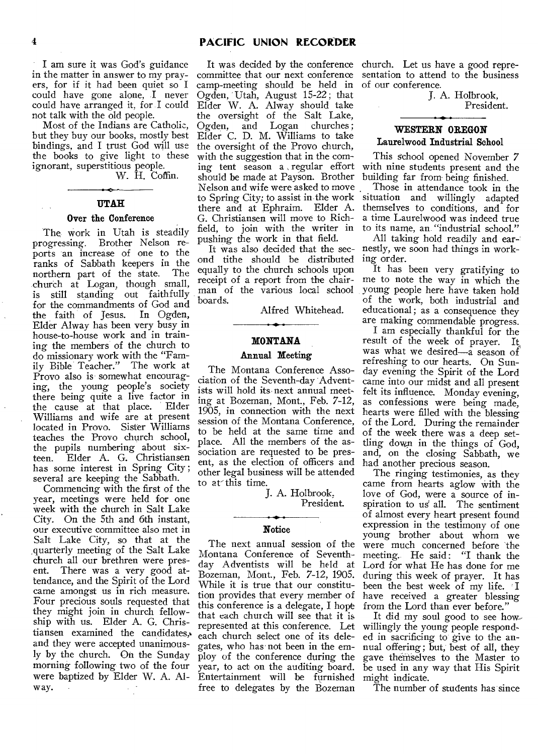I am sure it was God's guidance in the matter in answer to my prayers, for if it had been quiet so I could have gone alone, I never could have arranged it, for I could not talk with the old people.

Most of the Indians are Catholic, but they buy our books, mostly best bindings, and I trust God will use the books to give light to these ignorant, superstitious people. W. H. Coffin.

# **UTAH**

#### **Over the Conference**

The work in Utah is steadily progressing. Brother Nelson reports an increase of one to the ranks of Sabbath keepers in the<br>northern part of the state. The northern part of the state. church at Logan, though small, is still standing out faithfully for the commandments of God and<br>the faith of Jesus. In Ogden, the faith of Jesus. Elder Alway has been very busy in house-to-house work and in training the members of the church to do missionary work with the "Family Bible Teacher." The work at Provo also is somewhat encouraging, the young people's society there being quite a live factor in the cause at that place. Elder Williams and wife are at present located in Provo. Sister Williams teaches the Provo church school, the pupils numbering about sixteen. Elder A. G. Christiansen has some interest in Spring City ; several are keeping the Sabbath.

Commencing with the first of the year, meetings were held for one week with the church in Salt Lake City. On the 5th and 6th instant, our executive committee also met in Salt Lake City, so that at the quarterly meeting of the Salt Lake church all our brethren were pres-<br>ent. There was a very good at-There was a very good attendance, and the Spirit of the Lord came amongst us in rich measure. Four precious souls requested that they might join in church fellowship with us. Elder A. G. Christiansen examined the candidates,, and they were accepted unanimously by the church. On the Sunday morning following two of the four were baptized by Elder W. A. Alway.

committee that our next conference camp-meeting should be held in Ogden, Utah, August 15-22 ; that Elder W. A. Alway should take the oversight of the Salt Lake, Ogden, and Logan churches; Elder C. D. M. Williams to take the oversight of the Provo church, with the suggestion that in the coming tent season a , regular effort should be made at Payson. Brother Nelson and wife were asked to move there and at Ephraim. Elder A. G. Christiansen will move to Richfield, to join with the writer in pushing the work in that field.

ond tithe should be distributed ing order. equally to the church schools upon receipt of a report from the chairman of the various local school boards.

Alfred Whitehead.

#### **MONTANA**

### **Annual Meeting**

The Montana Conference Association of the Seventh-day Adventists will hold its next annual meeting at Bozeman, Mont., Feb. 7-12, 1905, in connection with the next session of the Montana Conference, to be held at the same time and place. All the members of the association are requested to be present, as the election of officers and other legal business will be attended to at'this time.

J. A. Holbrook,

President.

### **Notice**

The next annual session of the Montana Conference of Seventhday Adventists will be held at Bozeman, Mont., Feb. 7-12, 1905. While it is true that our constitution provides that every member of this conference is a delegate, I hope that each church will see that it is represented at this conference. Let willingly the young people respondeach church select one of its deleyear, to act on the auditing board. Entertainment will be furnished might indicate. free to delegates by the Bozeman

It was decided by the conference church. Let us have a good representation to attend to the business of our conference.

J. A. Holbrook, President.

## **WESTERN OREGON Laurelwood Industrial School**

This school opened November 7 with nine students present and the building far from being finished.

to Spring City; to assist in the work situation and willingly adapted Those in attendance took in the themselves to conditions, and for a time Laurelwood was indeed true to its name, an. "industrial school."

It was also decided that the sec-nestly, we soon had things in work-All taking hold readily and ear-

> It has been very gratifying to me to note the way in which the young people here have taken hold of the work, both industrial and educational; as a consequence they are making commendable progress.

> I am especially thankful for the result of the week of prayer. It was what we desired—a season of refreshing to our hearts. On Sunday evening the Spirit of the Lord came into our midst and all present felt its influence. Monday evening, as confessions were being made, hearts were filled with the blessing of the Lord. During the remainder of the week there was a deep settling down in the things of God, and, on the closing Sabbath, we had another precious season.

> The ringing testimonies, as they came from hearts aglow with the love of God, were a source of inspiration to us all. The sentiment of almost every heart present found expression in the testimony of one young brother about whom we were much concerned before the meeting. He said: "I thank the Lord for what He has done for me during this week of prayer. It has been the best week of my life. I have received a greater blessing from the Lord than ever before."

gates, who has not been in the em-nual offering ; but, best of all, they ploy of the conference during the gave themselves to the Master to It did my soul good to see howed in sacrificing to give to the anbe used in any way that His Spirit

The number of students has since

 $\lambda \rightarrow \lambda$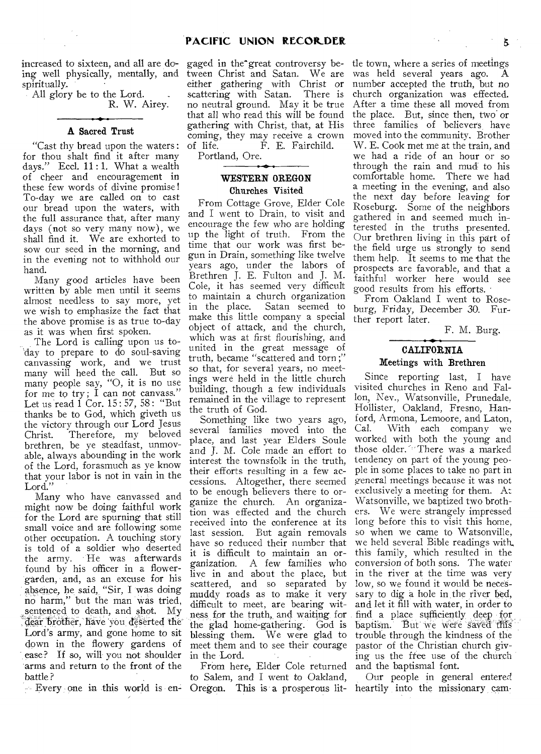increased to sixteen, and all are doing well physically, mentally, and spiritually.

 $\overline{\phantom{a}}$  All glory be to the Lord. R. W. Airey.

### **A** Sacred Trust

"Cast thy bread upon the waters : for thou shalt find it after many days." Eccl. 11:1. What a wealth of cheer and encouragement in these few words of divine promise ! To-day we are called on to cast our bread upon the waters, with the full assurance that, after many days (not so very many now), we shall find it. We are exhorted to sow our seed in the morning, and in the evening not to withhold our hand.

Many good articles have been written by able men until it seems almost needless to say more, yet we wish to emphasize the fact that the above promise is as true to-day as it was when first spoken.

The Lord is calling upon us today to prepare to do soul-saving canvassing work, and we trust many will heed the call. But so many people say, "0, it is no use for me to try; I can not canvass.' Let us read 1 Cor. 15: 57, 58: "But thanks be to God, which giveth us the victory through our Lord Jesus<br>Christ. Therefore, my beloved Therefore, my beloved brethren, be ye steadfast, unmovable, always abounding in the work of the Lord, forasmuch as ye know that your labor is not in vain in the Lord."

Many who have canvassed and might now be doing faithful work for the Lord are spurning that still small voice and are following some other occupation. A touching story is told of a soldier who deserted the army. He was afterwards found by his officer in a flowergarden, and, as an excuse for his absence, he said, "Sir, I was doing no harm," but the man was tried, sentenced to death, and shot. My dear brother, have you deserted the Lord's army, and gone home to sit down in the flowery gardens of ease? If so, will you not shoulder arms and return to the front of the battle ?

tween Christ and Satan. We are either gathering with Christ or scattering with Satan. There is no neutral ground. May it be true that all who read this will be found gathering with Christ, that, at His coming, they may receive a crown of life. F. E. Fairchild.

Portland, Ore.

# **WESTERN OREGON**  Churches Visited

From Cottage Grove, Elder Cole and I went to Drain, to visit and encourage the few who are holding up the light of truth. From the time that our work was first begun in Drain, something like twelve years ago, under the labors of Brethren J. E. Fulton and J. M. Cole, it has seemed very difficult to maintain a church organization in the place. Satan seemed to make this little company a special object of attack, and the church, which was at first flourishing, and united in the great message of truth, became "scattered and torn ;" so that, for several years, no meetings were held in the little church building, though a few individuals remained in the village to represent the truth of God.

Something like two years ago, several families moved into the place, and last year Elders Soule and J. M. Cole made an effort to interest the townsfolk in the truth, their efforts resulting in a few accessions. Altogether, there seemed to be enough believers there to organize the church. An organization was effected and the church received into the conference at its last session. But again removals have so reduced their number that it is difficult to maintain an organization. A few families who live in and about the place, but scattered, and so separated by muddy roads as to make it very difficult to meet, are bearing witness for the truth, and waiting for the glad home-gathering. God is blessing them. We were glad to meet them and to see their courage in the Lord.

Every one in this world is en-Oregon. This is a prosperous lit-From here, Elder Cole returned to Salem, and I went to Oakland,

gaged in the great controversy be- tle town, where a series of meetings was held several years ago. number accepted the truth, but no church organization was effected. After a time these all moved from the place. But, since then, two or three families of 'believers have moved into the community. Brother W. E. Cook met me at the train, and we had a ride of an hour or so through the rain and mud to his comfortable home. There we had a meeting in the evening, and also the next day before *leaving* for Roseburg. Some of the neighbors gathered in and seemed much interested in the truths presented. Our brethren living in this part of the field urge us strongly to send them help. It seems to me that the prospects are favorable, and that a faithful worker here would see good results from his efforts.

> From Oakland I went to Roseburg, Friday, December 30. Further report later.

> > F. M. Burg.

# **CALIFORNIA**  Meetings with Brethren

Since reporting last, I have visited churches in Reno and Fallon, Nev., Watsonville, Prunedale, Hollister, Oakland, Fresno, Hanford, Armona, Lemoore, and Laton, Cal. With each company we worked with both the young and those older. There was a marked tendency on part of the young people in some places to take no part in general meetings because it was not exclusively a meeting for them. At Watsonville, we baptized two brothers. We were strangely impressed long before this to visit this home, so when we came to Watsonville, we held several Bible readings with, this- family, which resulted in the conversion *of* both *sons.* The water in the river at the time was very low, so we found it would be necessary to dig a hole in the river bed, and let it fill with water, in order to find a place sufficiently deep for baptism. But we were saved this trouble through the kindness of the pastor of the Christian church giving us the free use of the church and the baptismal font.

Our people in general entered heartily into the missionary cam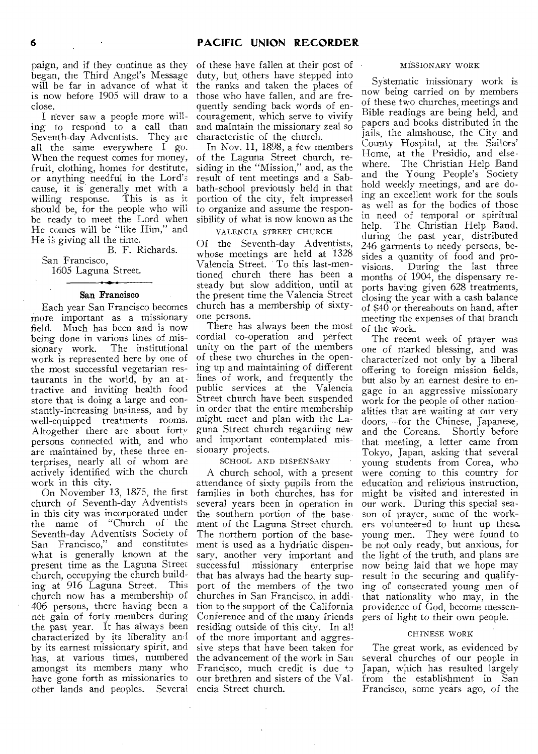paign, and if they continue as they began, the Third Angel's Message will be far in advance of what it is now before 1905 will draw to a close.

I never saw a people more willing to respond to a call than Seventh-day Adventists. They are all the same everywhere I go. When the request comes for money, fruit, clothing, homes for destitute, or anything needful in the Lord's cause, it is generally met with a willing response. This is as it willing response. should be, for the people who will be ready to meet the Lord when He comes will be "like Him," and He is giving all the time.

B. F. Richards. San Francisco,

1605 Laguna Street.

#### San Francisco

Each year San Francisco becomes more important as a missionary<br>field. Much has been and is now Much has been and is now being done in various lines of mis-<br>sionary work. The institutional The institutional work is represented here by one of the most successful vegetarian restaurants in the world, by an attractive and inviting health food store that is doing a large and constantly-increasing business, and by in order that the entire membership well-equipped treatments rooms. Altogether there are about forty persons connected with, and who are maintained by, these three enterprises, nearly all of whom are actively identified with the church work in this city.

On November 13, 1875, the first church of Seventh-day Adventists in this city was incorporated under the name of "Church of the Seventh-day Adventists Society of San Francisco," and constitutes what is generally known at the present time as the Laguna Street church, occupying the church build-<br>ing at 916 Laguna Street. This ing at 916 Laguna Street. church now has a membership of 406 persons, there having been a net gain of forty members during the past year. It has always been characterized by its liberality and by its earnest missionary spirit, and has, at various times, numbered amongst its members many who have gone forth as missionaries to other lands and peoples. Several

of these have fallen at their post of duty, but others have stepped into the ranks and taken the places of those who have fallen, and are frequently sending back words of encouragement, which serve to vivify and maintain the missionary zeal so characteristic of the church.

In Nov. 11, 1898, a few members of the Laguna Street church, residing in the "Mission," and, as the result of tent meetings and a Sabbath-school previously held in that portion of the city, felt impressed to organize and assume the responsibility of what is now known as the

VALENCIA STREET CHURCH

Of the Seventh-day Adventists, whose meetings are held at 1328 Valencia Street. To this last-mentioned church there has been a steady but slow addition, until at the present time the Valencia Street church has a membership of sixtyone persons.

There has always been the most cordial co-operation and perfect unity on the part of the members of these two churches in the opening up and maintaining of different lines of work, and frequently the public services at the Valencia Street church have been suspended might meet and plan with the Laguna Street church regarding new and important contemplated missionary projects.

SCHOOL AND DISPENSARY

A church school, with a present attendance of sixty pupils from the families in both churches, has for several years been in operation in the southern portion of the basement of the Laguna Street church. The northern portion of the basement is used as a hydriatic dispensary, another very important and<br>successful missionary enterprise missionary that has always had the hearty support of the members of the two churches in San Francisco, in addition to the support of the California Conference and of the many friends residing outside of this city. In all of the more important and aggressive steps that have been taken for the advancement of the work in San Francisco, much credit is due to our brethren and sisters of the Valencia Street church.

#### MISSIONARY WORK

Systematic missionary work is now being carried on by members of these two churches, meetings and Bible readings are being held, and papers and books distributed in the jails, the almshouse, the City and County Hospital, at the Sailors' Home, at the Presidio, and elsewhere. The Christian Help Band and the Young People's Society hold weekly meetings, and are doing an excellent work for the souls as well as for the bodies of those in need of temporal or spiritual help. The Christian Help Band, during the past year, distributed 246 garments to needy persons, besides a quantity of food and pro-<br>visions. During the last three During the last three months of 1904, the dispensary reports having given 628 treatments, closing the year with a cash balance of \$40 or thereabouts on hand, after meeting the expenses of that branch of the work.

The recent week of prayer was one of marked blessing, and was characterized not only by a liberal offering to foreign mission fields, but also by an earnest desire to engage in an aggressive missionary work for the people of other nationalities that are waiting at our very doors,—for the Chinese, Japanese, and the Coreans. Shortly before that meeting, a letter came from Tokyo, Japan, asking that several young students from Corea, who were coming to this country for education and religious instruction, might be visited and interested in our work. During this special season of prayer, some of the workers volunteered to hunt up these. young men. They were found to be not only ready, but anxious, for the light of the truth, and plans are now being laid that we hope may result in the securing and qualifying of consecrated young men of that nationality who may, in the providence of God, become messengers of light to their own people.

#### CHINESE WORK

The great work, as evidenced by several churches of our people in Japan, which has resulted largely from the establishment in San Francisco, some years ago, of the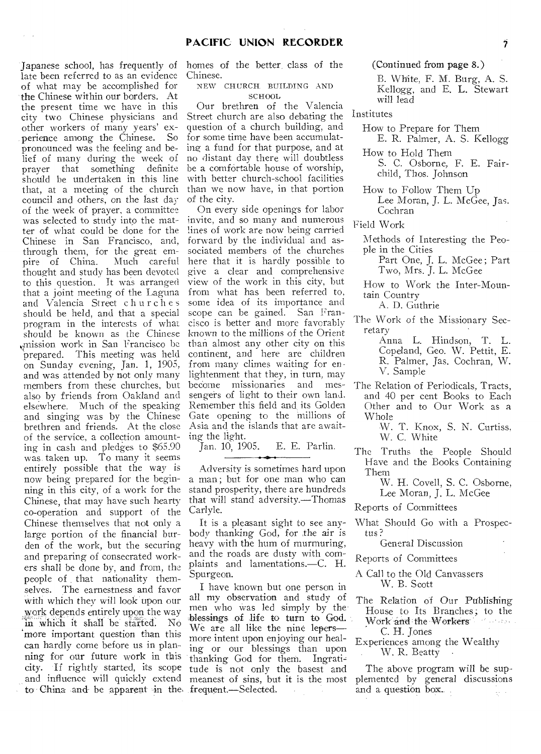late been referred to as an evidence of what may be accomplished for the Chinese within our borders. At the present time we have in this city two Chinese physicians and other workers of many years' experience among the Chinese. pronounced was the feeling and belief of many during the week of prayer that something definite should be undertaken in this line that, at a meeting of the church council and others, on the last day of the week of prayer, a committee was selected to study into the matter of what could be done for the Chinese in San Francisco, and, through them, for the great em-<br>pire of China. Much careful pire of China. thought and study has been devoted to this question. It was arranged that a joint meeting of the Laguna and Valencia Street churches should be held, and that a special program in the interests of what should be known as the Chinese ,mission work in San Francisco be This meeting was held on Sunday evening, Jan. 1, 1905, and was attended by not only many members from these churches, but also by friends from Oakland and elsewhere. Much of the speaking and singing was by the Chinese brethren and friends. At the close of the service, a collection amounting in cash and pledges to \$65.90 was taken up. To many it seems entirely possible that the way is now being prepared for the beginning in this city, of a work for the Chinese, that may have such hearty co-operation and support of the Chinese themselves that not only a large portion of the financial burden of the work, but the securing and preparing of consecrated workers shall be done by, and from, the people of that nationality themselves. The earnestness and favor with which they will look upon our work depends entirely upon the way in which it shall be started. No 'more important question than this can hardly come before us in planning for our future work in this city. If rightly started, its scope and influence will quickly extend to China and be apparent in the frequent.—Selected.

 $\alpha = -1$ 

Japanese school, has frequently of homes of the better, class of the Chinese.

> NEW CHURCH\_ BUILDING AND SCHOOL

Our brethren of the Valencia Street church are also debating the question of a church building, and for some time have been accumulating a fund for that purpose, and at no distant day there will doubtless be a comfortable house of worship, with better church-school facilities than we now have, in that portion of the city.

On every side openings for labor invite, and so many and numerous lines of work are now being carried forward by the individual and associated members of the churches here that it is hardly possible to give a clear and comprehensive view of the work in this city, but from what has been referred to, some idea of its importance and scope can be gained. San Francisco is better and more favorably known to the millions of the Orient than almost any other city on this continent, and here are children from many climes waiting for enlightenment that they, in turn, may<br>become missionaries and mesbecome missionaries sengers of light to their own land. Remember this field and, its Golden Gate opening to the millions of Asia and the islands that are awaiting the light.<br>Jan. 10, 1905.

E. E. Parlin.

Adversity is sometimes hard upon a man ; but for one man who can stand prosperity, there are hundreds that will stand adversity.—Thomas Carlyle.

It is a pleasant sight to see anybody thanking God, for the air is heavy with the hum of murmuring, and the roads are dusty with complaints and lamentations.—C. H. Spurgeon.

I have known but one person in all my observation and study of men who was led simply by the "blessings of life to turn to God. We are all like the nine lepers more intent upon enjoying our healing or our blessings than upon thanking God for them. Ingratitude is not only the basest and meanest of sins, but it is the most

(Continued from page 8.)

B. White, F. M. Burg, A. S. Kellogg, and E. L. Stewart will lead

Institutes

- How to Prepare for Them
- E. R. Palmer, A. S. Kellogg How to Hold Them

S. C. Osborne, F. E. Fairchild, Thos. Johnson

How to Follow Them Up Lee Moran, J. L. McGee, Jas. Cochran

Field Work

- Methods of Interesting the People in the Cities
	- Part One, J. L. McGee ; Part Two, Mrs. J. L. McGee
- How to Work the Inter-Mountain Country

A. D. Guthrie

- The Work of the Missionary Secretary
	- Anna L. Hindson, T. L. Copeland, Geo. W. Pettit, E. R. Palmer, Jas. Cochran, W. V. Sample
- The Relation of Periodicals, Tracts, and 40 per cent Books to Each Other and to Our Work as a Whole
	- W. T. Knox, S. N. Curtiss, W. C. White
- The Truths the People Should Have and the Books Containing Them
	- W. H. Covell, S. C. Osborne, Lee Moran, J. L. McGee

Reports of Committees

What Should Go with a Prospectus ?

General Discussion

- Reports of Committees
- A Call to the Old Canvassers W. B. Scott
- The Relation of Our Publishing House to Its Branches; to the Work and the Workers and the work C. H. Jones
- Experiences among the Wealthy W. R. Beatty

The above program will be supplemented by general discussions and a question box.  $\frac{1}{2}$  ,  $\frac{1}{2}$